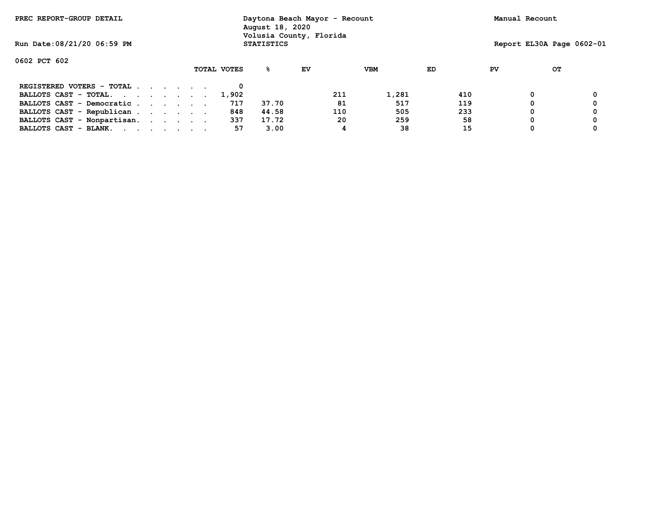| PREC REPORT-GROUP DETAIL    |  |  |  |  |  |             | Daytona Beach Mayor - Recount<br>August 18, 2020<br>Volusia County, Florida |    |     |            |     |    | Manual Recount |                           |  |
|-----------------------------|--|--|--|--|--|-------------|-----------------------------------------------------------------------------|----|-----|------------|-----|----|----------------|---------------------------|--|
| Run Date: 08/21/20 06:59 PM |  |  |  |  |  |             | <b>STATISTICS</b>                                                           |    |     |            |     |    |                | Report EL30A Page 0602-01 |  |
| 0602 PCT 602                |  |  |  |  |  |             |                                                                             |    |     |            |     |    |                |                           |  |
|                             |  |  |  |  |  | TOTAL VOTES | ℁                                                                           | EV |     | <b>VBM</b> | ED  | PV |                | OТ                        |  |
| REGISTERED VOTERS - TOTAL   |  |  |  |  |  |             |                                                                             |    |     |            |     |    |                |                           |  |
| BALLOTS CAST - TOTAL.       |  |  |  |  |  | 1,902       |                                                                             |    | 211 | 1,281      | 410 |    | 0              |                           |  |
| BALLOTS CAST - Democratic   |  |  |  |  |  | 717         | 37.70                                                                       |    | 81  | 517        | 119 |    |                |                           |  |
| BALLOTS CAST - Republican   |  |  |  |  |  | 848         | 44.58                                                                       |    | 110 | 505        | 233 |    |                |                           |  |
| BALLOTS CAST - Nonpartisan. |  |  |  |  |  | 337         | 17.72                                                                       |    | 20  | 259        | 58  |    |                |                           |  |
| BALLOTS CAST - BLANK.       |  |  |  |  |  | 57          | 3.00                                                                        |    |     | 38         | 15  |    |                |                           |  |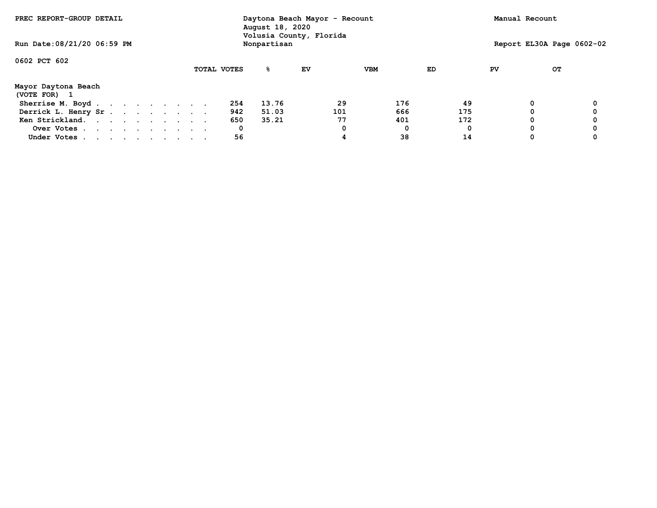| PREC REPORT-GROUP DETAIL            |             | August 18, 2020 | Daytona Beach Mayor - Recount<br>Volusia County, Florida |            |     | Manual Recount |                           |
|-------------------------------------|-------------|-----------------|----------------------------------------------------------|------------|-----|----------------|---------------------------|
| Run Date: 08/21/20 06:59 PM         |             | Nonpartisan     |                                                          |            |     |                | Report EL30A Page 0602-02 |
| 0602 PCT 602                        |             |                 |                                                          |            |     |                |                           |
|                                     | TOTAL VOTES | ℁               | EV                                                       | <b>VBM</b> | ED  | PV             | OТ                        |
| Mayor Daytona Beach<br>(VOTE FOR) 1 |             |                 |                                                          |            |     |                |                           |
| Sherrise M. Boyd.                   | 254         | 13.76           | 29                                                       | 176        | 49  | 0              |                           |
| Derrick L. Henry Sr.                | 942         | 51.03           | 101                                                      | 666        | 175 | 0              |                           |
| Ken Strickland.                     | 650         | 35.21           | 77                                                       | 401        | 172 | 0              |                           |
| Over Votes                          | 0           |                 |                                                          | 0          |     | 0              |                           |
| Under Votes                         | 56          |                 |                                                          | 38         | 14  | 0              |                           |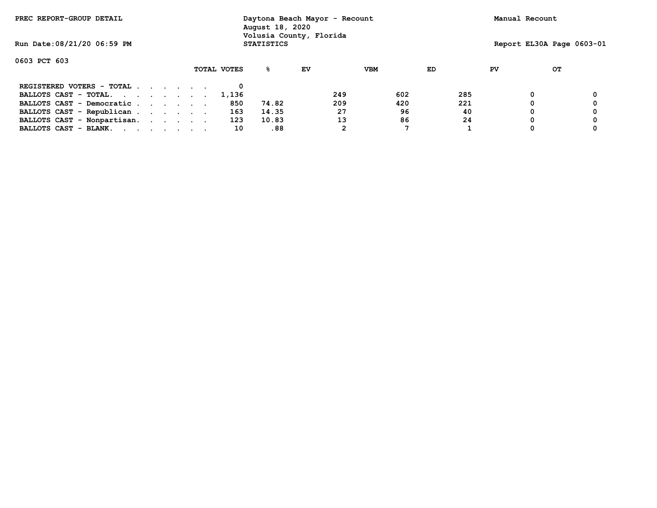| PREC REPORT-GROUP DETAIL    |  |             | August 18, 2020   | Daytona Beach Mayor - Recount<br>Volusia County, Florida |            |     |    | Manual Recount            |  |
|-----------------------------|--|-------------|-------------------|----------------------------------------------------------|------------|-----|----|---------------------------|--|
| Run Date: 08/21/20 06:59 PM |  |             | <b>STATISTICS</b> |                                                          |            |     |    | Report EL30A Page 0603-01 |  |
| 0603 PCT 603                |  |             |                   |                                                          |            |     |    |                           |  |
|                             |  | TOTAL VOTES | ዱ                 | EV                                                       | <b>VBM</b> | ED  | PV | OТ                        |  |
| $REGISTERED VOTERS - TOTAL$ |  |             |                   |                                                          |            |     |    |                           |  |
| BALLOTS CAST - TOTAL.       |  | 1,136       |                   | 249                                                      | 602        | 285 |    |                           |  |
| BALLOTS CAST - Democratic   |  | 850         | 74.82             | 209                                                      | 420        | 221 |    |                           |  |
| BALLOTS CAST - Republican   |  | 163         | 14.35             | 27                                                       | 96         | 40  |    |                           |  |
| BALLOTS CAST - Nonpartisan. |  | 123         | 10.83             | 13                                                       | 86         | 24  |    |                           |  |
| BALLOTS CAST - BLANK.       |  | 10          | .88               |                                                          | ⇁          |     |    |                           |  |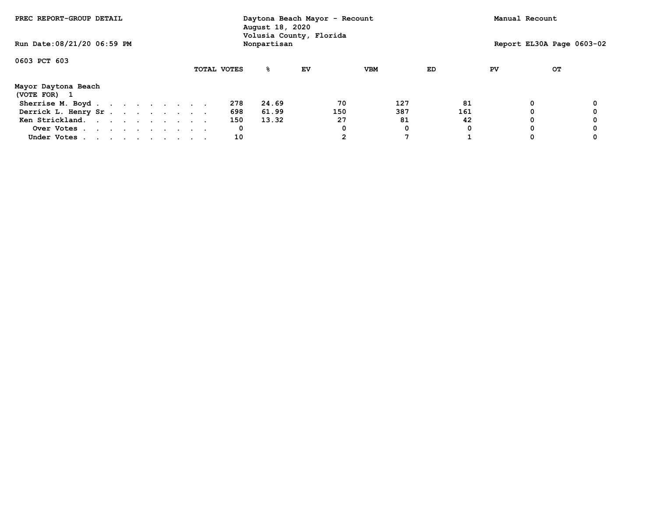| PREC REPORT-GROUP DETAIL            |  |  |  |  |             | Daytona Beach Mayor - Recount<br>August 18, 2020<br>Volusia County, Florida |    |     |            |     |    | Manual Recount            |  |
|-------------------------------------|--|--|--|--|-------------|-----------------------------------------------------------------------------|----|-----|------------|-----|----|---------------------------|--|
| Run Date: 08/21/20 06:59 PM         |  |  |  |  |             | Nonpartisan                                                                 |    |     |            |     |    | Report EL30A Page 0603-02 |  |
| 0603 PCT 603                        |  |  |  |  |             |                                                                             |    |     |            |     |    |                           |  |
|                                     |  |  |  |  | TOTAL VOTES | %                                                                           | EV |     | <b>VBM</b> | ED  | PV | OТ                        |  |
| Mayor Daytona Beach<br>(VOTE FOR) 1 |  |  |  |  |             |                                                                             |    |     |            |     |    |                           |  |
| Sherrise M. Boyd                    |  |  |  |  | 278         | 24.69                                                                       |    | 70  | 127        | 81  |    | 0                         |  |
| Derrick L. Henry Sr.                |  |  |  |  | 698         | 61.99                                                                       |    | 150 | 387        | 161 |    |                           |  |
| Ken Strickland.                     |  |  |  |  | 150         | 13.32                                                                       |    | 27  | 81         | 42  |    | 0                         |  |
| Over Votes                          |  |  |  |  | 0           |                                                                             |    |     | 0          |     |    | 0                         |  |
| Under Votes                         |  |  |  |  | 10          |                                                                             |    |     |            |     |    | 0                         |  |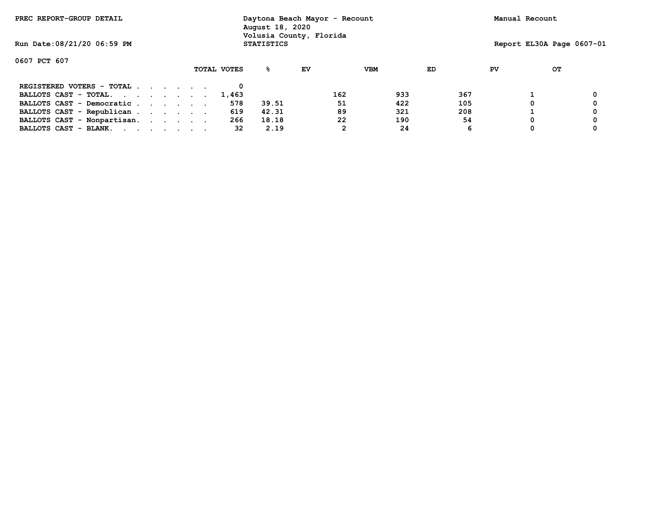| PREC REPORT-GROUP DETAIL    |  |  |             | Daytona Beach Mayor - Recount<br>August 18, 2020<br>Volusia County, Florida |    |     |            |     |    | Manual Recount |                           |
|-----------------------------|--|--|-------------|-----------------------------------------------------------------------------|----|-----|------------|-----|----|----------------|---------------------------|
| Run Date: 08/21/20 06:59 PM |  |  |             | <b>STATISTICS</b>                                                           |    |     |            |     |    |                | Report EL30A Page 0607-01 |
| 0607 PCT 607                |  |  |             |                                                                             |    |     |            |     |    |                |                           |
|                             |  |  | TOTAL VOTES | ℁                                                                           | EV |     | <b>VBM</b> | ED  | PV |                | OТ                        |
| REGISTERED VOTERS - TOTAL   |  |  |             |                                                                             |    |     |            |     |    |                |                           |
| BALLOTS CAST - TOTAL.       |  |  | 1,463       |                                                                             |    | 162 | 933        | 367 |    |                |                           |
| BALLOTS CAST - Democratic   |  |  | 578         | 39.51                                                                       |    | 51  | 422        | 105 |    |                |                           |
| BALLOTS CAST - Republican   |  |  | 619         | 42.31                                                                       |    | 89  | 321        | 208 |    |                |                           |
| BALLOTS CAST - Nonpartisan. |  |  | 266         | 18.18                                                                       |    | 22  | 190        | 54  |    |                |                           |
| BALLOTS CAST - BLANK.       |  |  | 32          | 2.19                                                                        |    | 2   | 24         | 6   |    |                |                           |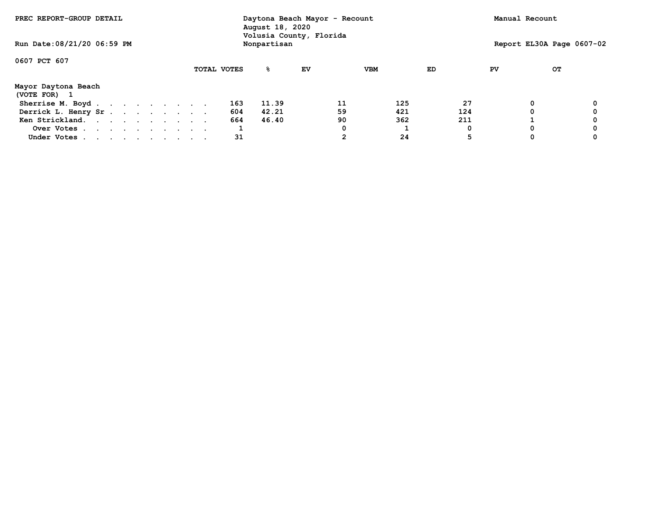| PREC REPORT-GROUP DETAIL          |  |  |  |  |  |             | Daytona Beach Mayor - Recount<br>August 18, 2020<br>Volusia County, Florida |    |    |            |     |    | Manual Recount            |  |
|-----------------------------------|--|--|--|--|--|-------------|-----------------------------------------------------------------------------|----|----|------------|-----|----|---------------------------|--|
| Run Date: 08/21/20 06:59 PM       |  |  |  |  |  |             | Nonpartisan                                                                 |    |    |            |     |    | Report EL30A Page 0607-02 |  |
| 0607 PCT 607                      |  |  |  |  |  |             |                                                                             |    |    |            |     |    |                           |  |
|                                   |  |  |  |  |  | TOTAL VOTES | %                                                                           | EV |    | <b>VBM</b> | ED  | PV | OТ                        |  |
| Mayor Daytona Beach<br>(VOTE FOR) |  |  |  |  |  |             |                                                                             |    |    |            |     |    |                           |  |
| Sherrise M. Boyd                  |  |  |  |  |  | 163         | 11.39                                                                       |    | 11 | 125        | 27  |    | 0                         |  |
| Derrick L. Henry Sr.              |  |  |  |  |  | 604         | 42.21                                                                       |    | 59 | 421        | 124 |    | 0                         |  |
| Ken Strickland.                   |  |  |  |  |  | 664         | 46.40                                                                       |    | 90 | 362        | 211 |    |                           |  |
| Over Votes                        |  |  |  |  |  |             |                                                                             |    | 0  |            |     |    | 0                         |  |
| Under Votes                       |  |  |  |  |  | 31          |                                                                             |    | 2  | 24         |     |    | 0                         |  |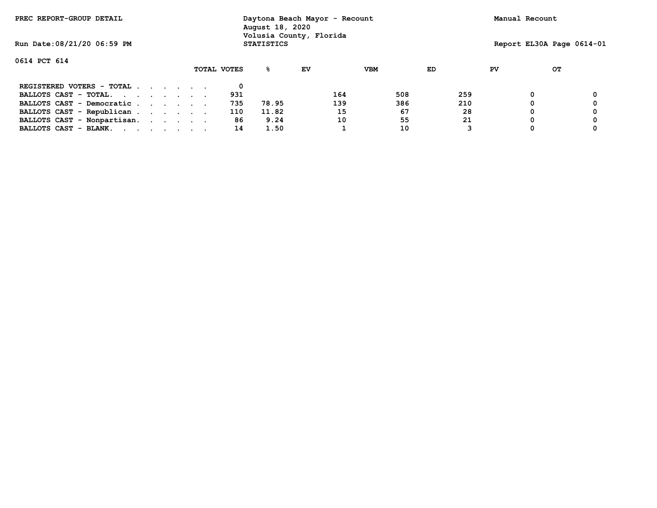| PREC REPORT-GROUP DETAIL    |  |  |             | Daytona Beach Mayor - Recount<br>August 18, 2020<br>Volusia County, Florida |    |     |            |     |    | Manual Recount |    |                           |
|-----------------------------|--|--|-------------|-----------------------------------------------------------------------------|----|-----|------------|-----|----|----------------|----|---------------------------|
| Run Date: 08/21/20 06:59 PM |  |  |             | <b>STATISTICS</b>                                                           |    |     |            |     |    |                |    | Report EL30A Page 0614-01 |
| 0614 PCT 614                |  |  |             |                                                                             |    |     |            |     |    |                |    |                           |
|                             |  |  | TOTAL VOTES | ℁                                                                           | EV |     | <b>VBM</b> | ED  | PV |                | OТ |                           |
| REGISTERED VOTERS - TOTAL   |  |  |             |                                                                             |    |     |            |     |    |                |    |                           |
| BALLOTS CAST - TOTAL.       |  |  | 931         |                                                                             |    | 164 | 508        | 259 |    | 0              |    |                           |
| BALLOTS CAST - Democratic   |  |  | 735         | 78.95                                                                       |    | 139 | 386        | 210 |    |                |    |                           |
| BALLOTS CAST - Republican   |  |  | 110         | 11.82                                                                       |    | 15  | 67         | 28  |    |                |    |                           |
| BALLOTS CAST - Nonpartisan. |  |  | 86          | 9.24                                                                        |    | 10  | 55         | 21  |    |                |    |                           |
| BALLOTS CAST - BLANK.       |  |  | 14          | 1.50                                                                        |    |     | 10         |     |    |                |    |                           |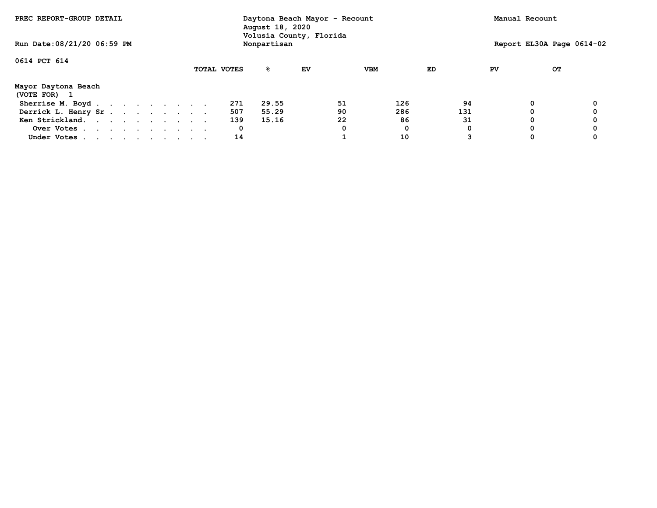| PREC REPORT-GROUP DETAIL          |  |             | August 18, 2020 | Daytona Beach Mayor - Recount<br>Volusia County, Florida |            |     | Manual Recount |                           |
|-----------------------------------|--|-------------|-----------------|----------------------------------------------------------|------------|-----|----------------|---------------------------|
| Run Date: 08/21/20 06:59 PM       |  |             | Nonpartisan     |                                                          |            |     |                | Report EL30A Page 0614-02 |
| 0614 PCT 614                      |  |             |                 |                                                          |            |     |                |                           |
|                                   |  | TOTAL VOTES | %               | EV                                                       | <b>VBM</b> | ED  | PV             | OТ                        |
| Mayor Daytona Beach<br>(VOTE FOR) |  |             |                 |                                                          |            |     |                |                           |
| Sherrise M. Boyd                  |  | 271         | 29.55           | 51                                                       | 126        | 94  | 0              |                           |
| Derrick L. Henry Sr.              |  | 507         | 55.29           | 90                                                       | 286        | 131 |                |                           |
| Ken Strickland.                   |  | 139         | 15.16           | 22                                                       | 86         | 31  | 0              |                           |
| Over Votes                        |  | 0           |                 | 0                                                        | 0          |     | 0              |                           |
| Under Votes                       |  | 14          |                 |                                                          | 10         |     | 0              |                           |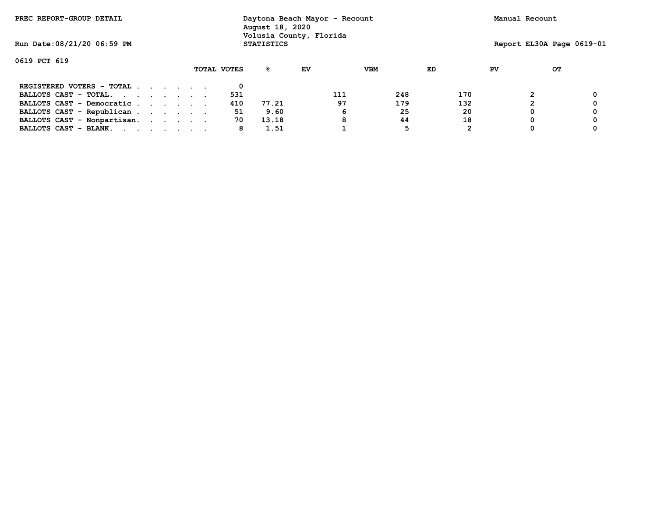| PREC REPORT-GROUP DETAIL    |  |  |  |  |  |             | Daytona Beach Mayor - Recount<br>August 18, 2020<br>Volusia County, Florida |    |     |            |     |    | Manual Recount |                           |
|-----------------------------|--|--|--|--|--|-------------|-----------------------------------------------------------------------------|----|-----|------------|-----|----|----------------|---------------------------|
| Run Date: 08/21/20 06:59 PM |  |  |  |  |  |             | <b>STATISTICS</b>                                                           |    |     |            |     |    |                | Report EL30A Page 0619-01 |
| 0619 PCT 619                |  |  |  |  |  |             |                                                                             |    |     |            |     |    |                |                           |
|                             |  |  |  |  |  | TOTAL VOTES | ℁                                                                           | EV |     | <b>VBM</b> | ED  | PV |                | OТ                        |
| REGISTERED VOTERS - TOTAL   |  |  |  |  |  |             |                                                                             |    |     |            |     |    |                |                           |
| BALLOTS CAST - TOTAL.       |  |  |  |  |  | 531         |                                                                             |    | 111 | 248        | 170 |    |                |                           |
| BALLOTS CAST - Democratic   |  |  |  |  |  | 410         | 77.21                                                                       |    | 97  | 179        | 132 |    |                |                           |
| BALLOTS CAST - Republican   |  |  |  |  |  | 51          | 9.60                                                                        |    | 6   | 25         | 20  |    |                |                           |
| BALLOTS CAST - Nonpartisan. |  |  |  |  |  | 70          | 13.18                                                                       |    | 8   | 44         | 18  |    |                |                           |
| BALLOTS CAST - BLANK.       |  |  |  |  |  | 8           | 1.51                                                                        |    |     | 5          |     |    |                |                           |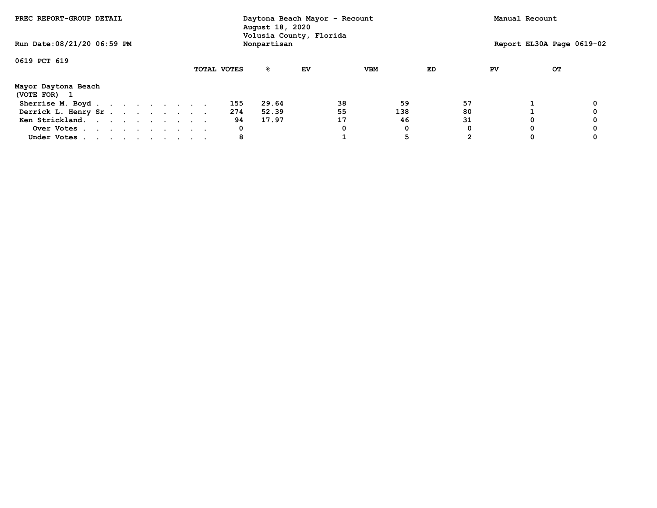| PREC REPORT-GROUP DETAIL            |  |  |  |             | Daytona Beach Mayor - Recount<br>August 18, 2020<br>Volusia County, Florida |    |    |            |    |    | Manual Recount            |  |
|-------------------------------------|--|--|--|-------------|-----------------------------------------------------------------------------|----|----|------------|----|----|---------------------------|--|
| Run Date: 08/21/20 06:59 PM         |  |  |  |             | Nonpartisan                                                                 |    |    |            |    |    | Report EL30A Page 0619-02 |  |
| 0619 PCT 619                        |  |  |  |             |                                                                             |    |    |            |    |    |                           |  |
|                                     |  |  |  | TOTAL VOTES | နွ                                                                          | EV |    | <b>VBM</b> | ED | PV | OТ                        |  |
| Mayor Daytona Beach<br>(VOTE FOR) 1 |  |  |  |             |                                                                             |    |    |            |    |    |                           |  |
| Sherrise M. Boyd                    |  |  |  | 155         | 29.64                                                                       |    | 38 | 59         | 57 |    |                           |  |
| Derrick L. Henry Sr.                |  |  |  | 274         | 52.39                                                                       |    | 55 | 138        | 80 |    |                           |  |
| Ken Strickland.                     |  |  |  | 94          | 17.97                                                                       |    | 17 | 46         | 31 |    | 0                         |  |
| Over Votes                          |  |  |  | 0           |                                                                             |    |    | 0          |    |    | 0                         |  |
| Under Votes                         |  |  |  | 8           |                                                                             |    |    | 5          |    |    | 0                         |  |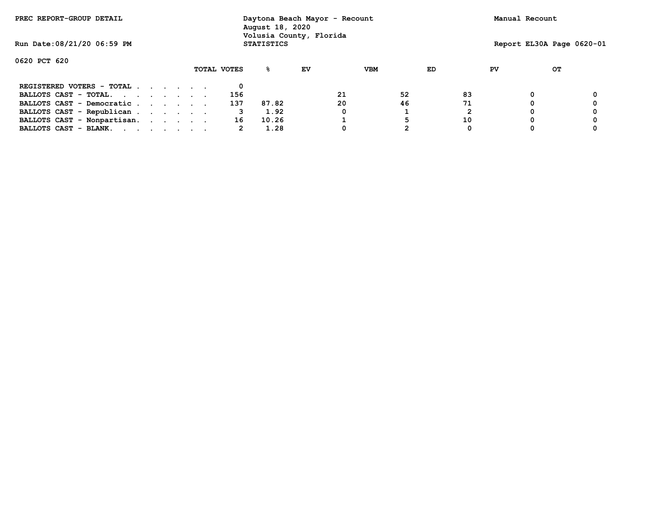| PREC REPORT-GROUP DETAIL                                                                                                                                                                                                                                |  |  |             | Daytona Beach Mayor - Recount<br>August 18, 2020<br>Volusia County, Florida |    |    |     |    |    | Manual Recount |    |                           |
|---------------------------------------------------------------------------------------------------------------------------------------------------------------------------------------------------------------------------------------------------------|--|--|-------------|-----------------------------------------------------------------------------|----|----|-----|----|----|----------------|----|---------------------------|
| Run Date: 08/21/20 06:59 PM                                                                                                                                                                                                                             |  |  |             | <b>STATISTICS</b>                                                           |    |    |     |    |    |                |    | Report EL30A Page 0620-01 |
| 0620 PCT 620                                                                                                                                                                                                                                            |  |  |             |                                                                             |    |    |     |    |    |                |    |                           |
|                                                                                                                                                                                                                                                         |  |  | TOTAL VOTES | %∹                                                                          | EV |    | VBM | ED |    | PV             | OТ |                           |
| REGISTERED VOTERS - TOTAL                                                                                                                                                                                                                               |  |  |             |                                                                             |    |    |     |    |    |                |    |                           |
| BALLOTS CAST - TOTAL.                                                                                                                                                                                                                                   |  |  | 156         |                                                                             |    | 21 | 52  |    | 83 |                |    |                           |
| BALLOTS CAST - Democratic                                                                                                                                                                                                                               |  |  | 137         | 87.82                                                                       |    | 20 | 46  |    | 71 |                |    |                           |
| BALLOTS CAST - Republican                                                                                                                                                                                                                               |  |  | 3           | 1.92                                                                        |    |    |     |    |    |                |    |                           |
| BALLOTS CAST - Nonpartisan.                                                                                                                                                                                                                             |  |  | 16          | 10.26                                                                       |    |    | 5   |    | 10 |                |    |                           |
| BALLOTS CAST - BLANK.<br>and the contract of the contract of the contract of the contract of the contract of the contract of the contract of the contract of the contract of the contract of the contract of the contract of the contract of the contra |  |  | 2           | 1.28                                                                        |    |    |     |    | 0  |                |    |                           |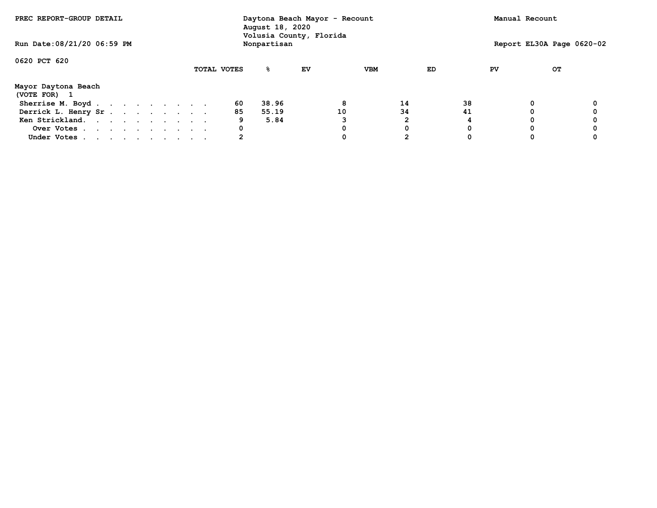| PREC REPORT-GROUP DETAIL            |  |             |    |             |                         |     |    |    | Manual Recount            |  |
|-------------------------------------|--|-------------|----|-------------|-------------------------|-----|----|----|---------------------------|--|
| Run Date: 08/21/20 06:59 PM         |  |             |    | Nonpartisan | Volusia County, Florida |     |    |    | Report EL30A Page 0620-02 |  |
| 0620 PCT 620                        |  |             |    |             |                         |     |    |    |                           |  |
|                                     |  | TOTAL VOTES |    | %           | ΕV                      | VBM | ED | PV | OТ                        |  |
| Mayor Daytona Beach<br>(VOTE FOR) 1 |  |             |    |             |                         |     |    |    |                           |  |
| Sherrise M. Boyd.                   |  |             | 60 | 38.96       |                         | 8   | 14 | 38 | 0                         |  |
| Derrick L. Henry Sr.                |  |             | 85 | 55.19       |                         | 10  | 34 | 41 |                           |  |
| Ken Strickland.                     |  |             | 9  | 5.84        |                         |     |    |    | 0                         |  |
| Over Votes                          |  |             | 0  |             |                         |     | 0  |    | 0                         |  |
| Under Votes                         |  |             |    |             |                         |     |    |    | 0                         |  |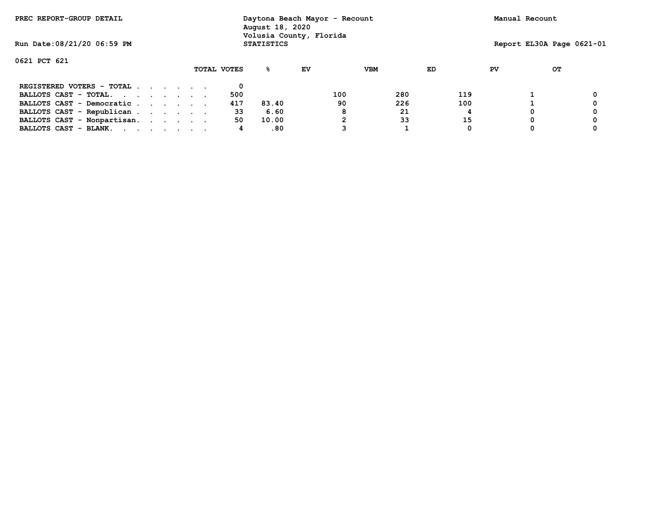| PREC REPORT-GROUP DETAIL    |  |  |             | Daytona Beach Mayor - Recount<br>August 18, 2020<br>Volusia County, Florida |    |     |            |     |    | Manual Recount |                           |
|-----------------------------|--|--|-------------|-----------------------------------------------------------------------------|----|-----|------------|-----|----|----------------|---------------------------|
| Run Date: 08/21/20 06:59 PM |  |  |             | <b>STATISTICS</b>                                                           |    |     |            |     |    |                | Report EL30A Page 0621-01 |
| 0621 PCT 621                |  |  |             |                                                                             |    |     |            |     |    |                |                           |
|                             |  |  | TOTAL VOTES | ℁                                                                           | EV |     | <b>VBM</b> | ED  | PV | OТ             |                           |
| REGISTERED VOTERS - TOTAL   |  |  |             |                                                                             |    |     |            |     |    |                |                           |
| BALLOTS CAST - TOTAL.       |  |  | 500         |                                                                             |    | 100 | 280        | 119 |    |                |                           |
| BALLOTS CAST - Democratic   |  |  | 417         | 83.40                                                                       |    | 90  | 226        | 100 |    |                |                           |
| BALLOTS CAST - Republican   |  |  | 33          | 6.60                                                                        |    | 8   | 21         |     |    |                |                           |
| BALLOTS CAST - Nonpartisan. |  |  | 50          | 10.00                                                                       |    |     | 33         | 15  |    |                |                           |
| BALLOTS CAST - BLANK.       |  |  | 4           | .80                                                                         |    |     |            | 0   |    |                |                           |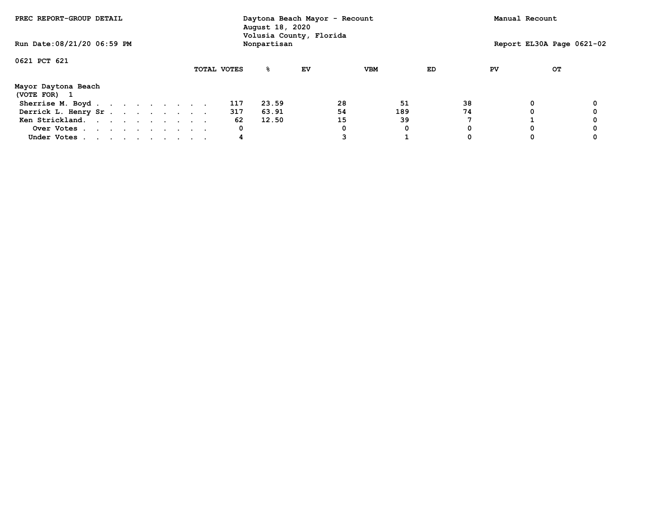| PREC REPORT-GROUP DETAIL<br>Run Date: 08/21/20 06:59 PM |  |  |  |  |  |  |  | Daytona Beach Mayor - Recount<br>August 18, 2020<br>Volusia County, Florida |             |    |    |            |    | Manual Recount |   |                           |
|---------------------------------------------------------|--|--|--|--|--|--|--|-----------------------------------------------------------------------------|-------------|----|----|------------|----|----------------|---|---------------------------|
|                                                         |  |  |  |  |  |  |  |                                                                             | Nonpartisan |    |    |            |    |                |   | Report EL30A Page 0621-02 |
| 0621 PCT 621                                            |  |  |  |  |  |  |  |                                                                             |             |    |    |            |    |                |   |                           |
|                                                         |  |  |  |  |  |  |  | TOTAL VOTES                                                                 | %           | ΕV |    | <b>VBM</b> | ED | PV             |   | OТ                        |
| Mayor Daytona Beach<br>(VOTE FOR) 1                     |  |  |  |  |  |  |  |                                                                             |             |    |    |            |    |                |   |                           |
| Sherrise M. Boyd.                                       |  |  |  |  |  |  |  | 117                                                                         | 23.59       |    | 28 | 51         | 38 |                | 0 |                           |
| Derrick L. Henry Sr                                     |  |  |  |  |  |  |  | 317                                                                         | 63.91       |    | 54 | 189        | 74 |                | 0 |                           |
| Ken Strickland.                                         |  |  |  |  |  |  |  | 62                                                                          | 12.50       |    | 15 | 39         |    |                |   |                           |
| Over Votes                                              |  |  |  |  |  |  |  | 0                                                                           |             |    |    | 0          |    |                |   |                           |
| Under Votes                                             |  |  |  |  |  |  |  | 4                                                                           |             |    |    |            |    |                |   |                           |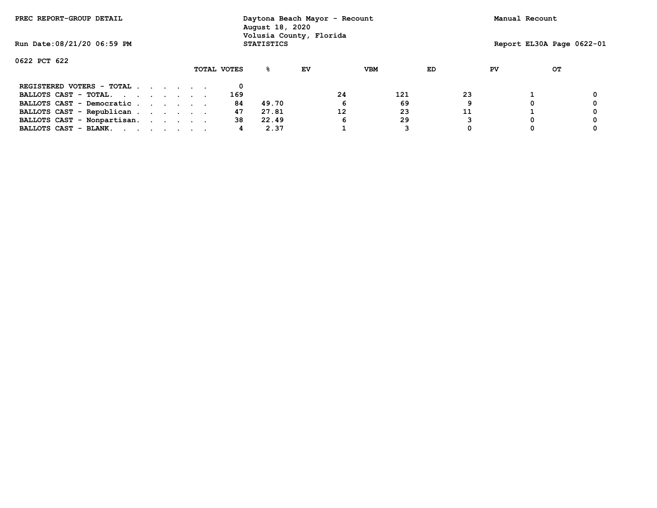| PREC REPORT-GROUP DETAIL    |  |  |             | Daytona Beach Mayor - Recount<br>August 18, 2020<br>Volusia County, Florida |    |    |            |    |    | Manual Recount |                           |
|-----------------------------|--|--|-------------|-----------------------------------------------------------------------------|----|----|------------|----|----|----------------|---------------------------|
| Run Date: 08/21/20 06:59 PM |  |  |             | <b>STATISTICS</b>                                                           |    |    |            |    |    |                | Report EL30A Page 0622-01 |
| 0622 PCT 622                |  |  |             |                                                                             |    |    |            |    |    |                |                           |
|                             |  |  | TOTAL VOTES | ℁                                                                           | EV |    | <b>VBM</b> | ED | PV |                | OТ                        |
| REGISTERED VOTERS - TOTAL   |  |  |             |                                                                             |    |    |            |    |    |                |                           |
| BALLOTS CAST - TOTAL.       |  |  | 169         |                                                                             |    | 24 | 121        | 23 |    |                |                           |
| BALLOTS CAST - Democratic   |  |  | 84          | 49.70                                                                       |    | 6  | 69         | 9  |    |                |                           |
| BALLOTS CAST - Republican   |  |  | 47          | 27.81                                                                       |    | 12 | 23         | 11 |    |                |                           |
| BALLOTS CAST - Nonpartisan. |  |  | 38          | 22.49                                                                       |    | 6  | 29         |    |    |                |                           |
| BALLOTS CAST - BLANK.       |  |  | 4           | 2.37                                                                        |    |    |            |    |    |                |                           |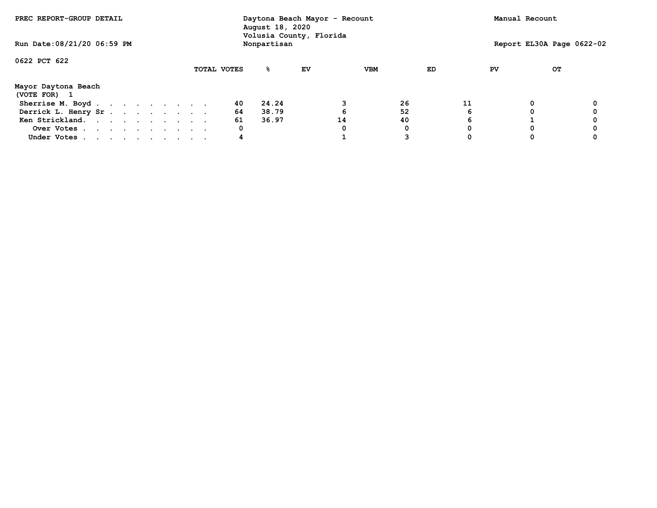| PREC REPORT-GROUP DETAIL<br>Run Date: 08/21/20 06:59 PM |  |  |  |  |  |  |  | Daytona Beach Mayor - Recount<br>August 18, 2020<br>Volusia County, Florida |             |             |    |    |            |    | Manual Recount |    |    |                           |
|---------------------------------------------------------|--|--|--|--|--|--|--|-----------------------------------------------------------------------------|-------------|-------------|----|----|------------|----|----------------|----|----|---------------------------|
|                                                         |  |  |  |  |  |  |  |                                                                             |             | Nonpartisan |    |    |            |    |                |    |    | Report EL30A Page 0622-02 |
| 0622 PCT 622                                            |  |  |  |  |  |  |  |                                                                             |             |             |    |    |            |    |                |    |    |                           |
|                                                         |  |  |  |  |  |  |  |                                                                             | TOTAL VOTES | ℁           | EV |    | <b>VBM</b> |    | ED             | PV | OТ |                           |
| Mayor Daytona Beach<br>(VOTE FOR) 1                     |  |  |  |  |  |  |  |                                                                             |             |             |    |    |            |    |                |    |    |                           |
| Sherrise M. Boyd.                                       |  |  |  |  |  |  |  |                                                                             | 40          | 24.24       |    |    |            | 26 | 11             |    | 0  |                           |
| Derrick L. Henry Sr                                     |  |  |  |  |  |  |  |                                                                             | 64          | 38.79       |    |    |            | 52 |                |    |    |                           |
| Ken Strickland.                                         |  |  |  |  |  |  |  |                                                                             | 61          | 36.97       |    | 14 |            | 40 |                |    |    |                           |
| Over Votes                                              |  |  |  |  |  |  |  |                                                                             | 0           |             |    |    |            | 0  |                |    |    |                           |
| Under Votes                                             |  |  |  |  |  |  |  |                                                                             | 4           |             |    |    |            |    |                |    |    |                           |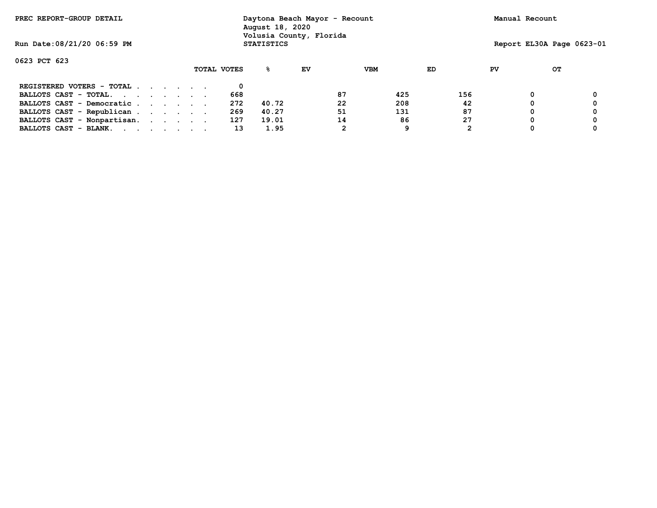| PREC REPORT-GROUP DETAIL                                                                                                                 |  |  |             | Daytona Beach Mayor - Recount<br>August 18, 2020<br>Volusia County, Florida |    |    |            |     |    | Manual Recount |                           |
|------------------------------------------------------------------------------------------------------------------------------------------|--|--|-------------|-----------------------------------------------------------------------------|----|----|------------|-----|----|----------------|---------------------------|
| Run Date: 08/21/20 06:59 PM                                                                                                              |  |  |             | <b>STATISTICS</b>                                                           |    |    |            |     |    |                | Report EL30A Page 0623-01 |
| 0623 PCT 623                                                                                                                             |  |  |             |                                                                             |    |    |            |     |    |                |                           |
|                                                                                                                                          |  |  | TOTAL VOTES | ዱ                                                                           | EV |    | <b>VBM</b> | ED  | PV | OТ             |                           |
| REGISTERED VOTERS - TOTAL                                                                                                                |  |  |             |                                                                             |    |    |            |     |    |                |                           |
| BALLOTS CAST - TOTAL.                                                                                                                    |  |  | 668         |                                                                             |    | 87 | 425        | 156 |    | 0              | 0                         |
| BALLOTS CAST - Democratic                                                                                                                |  |  | 272         | 40.72                                                                       |    | 22 | 208        | 42  |    | 0              | 0                         |
| BALLOTS CAST - Republican                                                                                                                |  |  | 269         | 40.27                                                                       |    | 51 | 131        | 87  |    |                | 0                         |
| BALLOTS CAST - Nonpartisan.                                                                                                              |  |  | 127         | 19.01                                                                       |    | 14 | 86         | 27  |    | 0              | 0                         |
| BALLOTS CAST - BLANK.<br>the contract of the contract of the contract of the contract of the contract of the contract of the contract of |  |  | 13          | 1.95                                                                        |    | 2  | 9          |     |    | 0              | 0                         |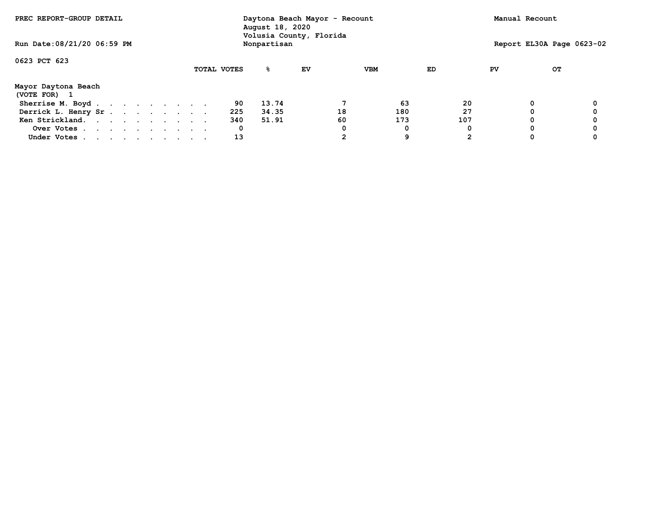| PREC REPORT-GROUP DETAIL          |  |  |  |  |  |  | Daytona Beach Mayor - Recount<br>August 18, 2020<br>Volusia County, Florida |             |             |    |    |            | Manual Recount |    |                           |  |
|-----------------------------------|--|--|--|--|--|--|-----------------------------------------------------------------------------|-------------|-------------|----|----|------------|----------------|----|---------------------------|--|
| Run Date: 08/21/20 06:59 PM       |  |  |  |  |  |  |                                                                             |             | Nonpartisan |    |    |            |                |    | Report EL30A Page 0623-02 |  |
| 0623 PCT 623                      |  |  |  |  |  |  |                                                                             |             |             |    |    |            |                |    |                           |  |
|                                   |  |  |  |  |  |  |                                                                             | TOTAL VOTES | %           | EV |    | <b>VBM</b> | ED             | PV | OТ                        |  |
| Mayor Daytona Beach<br>(VOTE FOR) |  |  |  |  |  |  |                                                                             |             |             |    |    |            |                |    |                           |  |
| Sherrise M. Boyd                  |  |  |  |  |  |  |                                                                             | 90          | 13.74       |    |    | 63         | 20             |    | 0                         |  |
| Derrick L. Henry Sr.              |  |  |  |  |  |  |                                                                             | 225         | 34.35       |    | 18 | 180        | 27             |    |                           |  |
| Ken Strickland.                   |  |  |  |  |  |  |                                                                             | 340         | 51.91       |    | 60 | 173        | 107            |    | 0                         |  |
| Over Votes                        |  |  |  |  |  |  |                                                                             | 0           |             |    |    | 0          |                |    | 0                         |  |
| Under Votes                       |  |  |  |  |  |  |                                                                             | 13          |             |    |    | 9          |                |    | 0                         |  |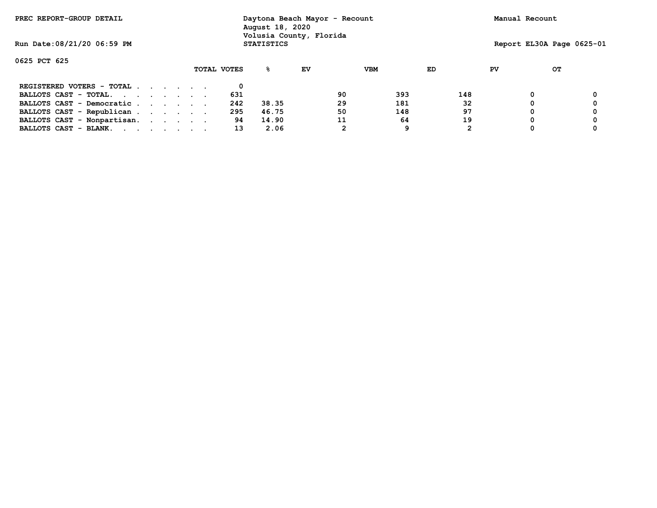| PREC REPORT-GROUP DETAIL                                                                                                                 |  |  |             | Daytona Beach Mayor - Recount<br>August 18, 2020<br>Volusia County, Florida |    |    |            |     |    | Manual Recount            |   |
|------------------------------------------------------------------------------------------------------------------------------------------|--|--|-------------|-----------------------------------------------------------------------------|----|----|------------|-----|----|---------------------------|---|
| Run Date: 08/21/20 06:59 PM                                                                                                              |  |  |             | <b>STATISTICS</b>                                                           |    |    |            |     |    | Report EL30A Page 0625-01 |   |
| 0625 PCT 625                                                                                                                             |  |  |             |                                                                             |    |    |            |     |    |                           |   |
|                                                                                                                                          |  |  | TOTAL VOTES | ዱ                                                                           | EV |    | <b>VBM</b> | ED  | PV | OТ                        |   |
| REGISTERED VOTERS - TOTAL                                                                                                                |  |  |             |                                                                             |    |    |            |     |    |                           |   |
| BALLOTS CAST - TOTAL.                                                                                                                    |  |  | 631         |                                                                             |    | 90 | 393        | 148 |    | 0                         | 0 |
| BALLOTS CAST - Democratic                                                                                                                |  |  | 242         | 38.35                                                                       |    | 29 | 181        | 32  |    | 0                         | 0 |
| BALLOTS CAST - Republican                                                                                                                |  |  | 295         | 46.75                                                                       |    | 50 | 148        | 97  |    |                           | 0 |
| BALLOTS CAST - Nonpartisan.                                                                                                              |  |  | 94          | 14.90                                                                       |    | 11 | 64         | 19  |    | 0                         | 0 |
| BALLOTS CAST - BLANK.<br>the contract of the contract of the contract of the contract of the contract of the contract of the contract of |  |  | 13          | 2.06                                                                        |    | 2  | 9          |     |    | 0                         | 0 |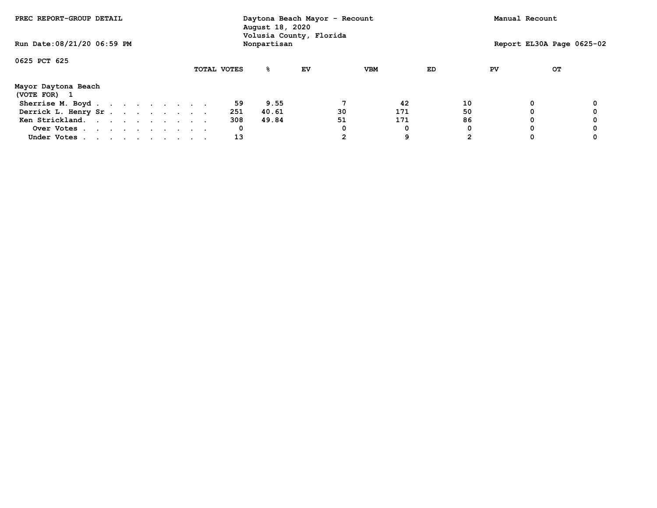| PREC REPORT-GROUP DETAIL<br>Run Date: 08/21/20 06:59 PM |  |  |  |  |  |  |  | Daytona Beach Mayor - Recount<br>August 18, 2020<br>Volusia County, Florida |             |    |    |            |    | Manual Recount |    |                           |
|---------------------------------------------------------|--|--|--|--|--|--|--|-----------------------------------------------------------------------------|-------------|----|----|------------|----|----------------|----|---------------------------|
|                                                         |  |  |  |  |  |  |  |                                                                             | Nonpartisan |    |    |            |    |                |    | Report EL30A Page 0625-02 |
| 0625 PCT 625                                            |  |  |  |  |  |  |  |                                                                             |             |    |    |            |    |                |    |                           |
|                                                         |  |  |  |  |  |  |  | TOTAL VOTES                                                                 | %           | ΕV |    | <b>VBM</b> | ED | PV             | OТ |                           |
| Mayor Daytona Beach<br>(VOTE FOR) 1                     |  |  |  |  |  |  |  |                                                                             |             |    |    |            |    |                |    |                           |
| Sherrise M. Boyd.                                       |  |  |  |  |  |  |  | 59                                                                          | 9.55        |    |    | 42         | 10 |                | 0  |                           |
| Derrick L. Henry Sr                                     |  |  |  |  |  |  |  | 251                                                                         | 40.61       |    | 30 | 171        | 50 |                | 0  |                           |
| Ken Strickland.                                         |  |  |  |  |  |  |  | 308                                                                         | 49.84       |    | 51 | 171        | 86 |                | 0  |                           |
| Over Votes                                              |  |  |  |  |  |  |  | 0                                                                           |             |    |    | 0          |    |                | 0  |                           |
| Under Votes                                             |  |  |  |  |  |  |  | 13                                                                          |             |    |    | 9          |    |                |    |                           |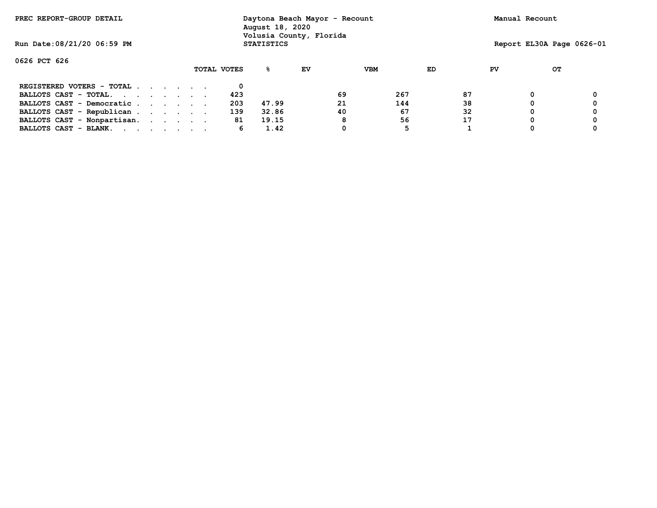| PREC REPORT-GROUP DETAIL    |  |  |             | Daytona Beach Mayor - Recount<br>August 18, 2020<br>Volusia County, Florida |    |    |            |    |    | Manual Recount            |   |
|-----------------------------|--|--|-------------|-----------------------------------------------------------------------------|----|----|------------|----|----|---------------------------|---|
| Run Date: 08/21/20 06:59 PM |  |  |             | <b>STATISTICS</b>                                                           |    |    |            |    |    | Report EL30A Page 0626-01 |   |
| 0626 PCT 626                |  |  |             |                                                                             |    |    |            |    |    |                           |   |
|                             |  |  | TOTAL VOTES | ℁                                                                           | EV |    | <b>VBM</b> | ED | PV | OТ                        |   |
| REGISTERED VOTERS - TOTAL   |  |  |             |                                                                             |    |    |            |    |    |                           |   |
| BALLOTS CAST - TOTAL.       |  |  | 423         |                                                                             |    | 69 | 267        | 87 |    |                           | 0 |
| BALLOTS CAST - Democratic   |  |  | 203         | 47.99                                                                       |    | 21 | 144        | 38 |    |                           |   |
| BALLOTS CAST - Republican   |  |  | 139         | 32.86                                                                       |    | 40 | 67         | 32 |    |                           | 0 |
| BALLOTS CAST - Nonpartisan. |  |  | 81          | 19.15                                                                       |    | 8  | 56         | 17 |    |                           | 0 |
| BALLOTS CAST - BLANK.       |  |  | 6           | 1.42                                                                        |    |    | 5          |    |    |                           |   |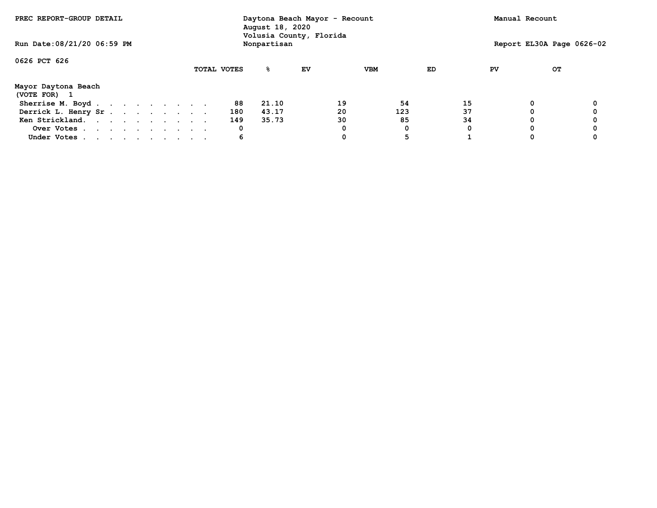| PREC REPORT-GROUP DETAIL            |  |  |  |  |  |  | Daytona Beach Mayor - Recount<br>August 18, 2020<br>Volusia County, Florida |             |             |    |    |            | Manual Recount |    |                           |  |
|-------------------------------------|--|--|--|--|--|--|-----------------------------------------------------------------------------|-------------|-------------|----|----|------------|----------------|----|---------------------------|--|
| Run Date: 08/21/20 06:59 PM         |  |  |  |  |  |  |                                                                             |             | Nonpartisan |    |    |            |                |    | Report EL30A Page 0626-02 |  |
| 0626 PCT 626                        |  |  |  |  |  |  |                                                                             |             |             |    |    |            |                |    |                           |  |
|                                     |  |  |  |  |  |  |                                                                             | TOTAL VOTES | % ፡         | EV |    | <b>VBM</b> | ED             | PV | OТ                        |  |
| Mayor Daytona Beach<br>(VOTE FOR) 1 |  |  |  |  |  |  |                                                                             |             |             |    |    |            |                |    |                           |  |
| Sherrise M. Boyd.                   |  |  |  |  |  |  |                                                                             | 88          | 21.10       |    | 19 | 54         | 15             |    | 0                         |  |
| Derrick L. Henry Sr.                |  |  |  |  |  |  |                                                                             | 180         | 43.17       |    | 20 | 123        | 37             |    | Ω                         |  |
| Ken Strickland.                     |  |  |  |  |  |  |                                                                             | 149         | 35.73       |    | 30 | 85         | 34             |    | 0                         |  |
| Over Votes                          |  |  |  |  |  |  |                                                                             | 0           |             |    |    | 0          |                |    | 0                         |  |
| Under Votes                         |  |  |  |  |  |  |                                                                             | 6           |             |    |    | 5          |                |    | 0                         |  |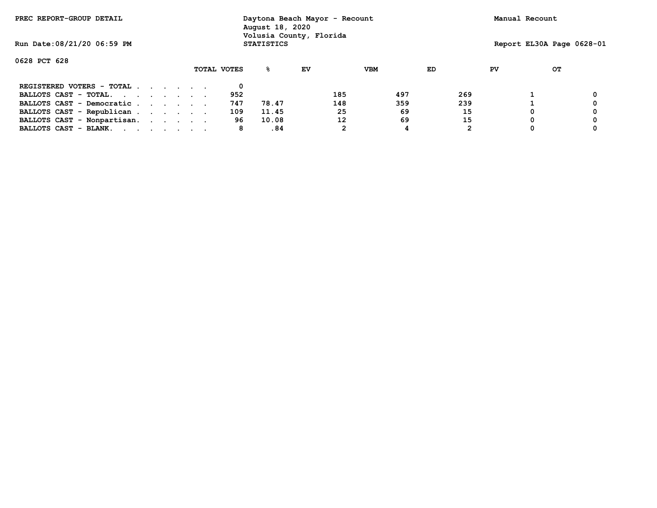| PREC REPORT-GROUP DETAIL    |  |  |             | Daytona Beach Mayor - Recount<br>August 18, 2020<br>Volusia County, Florida |    |     |     |     |    | Manual Recount |                           |
|-----------------------------|--|--|-------------|-----------------------------------------------------------------------------|----|-----|-----|-----|----|----------------|---------------------------|
| Run Date: 08/21/20 06:59 PM |  |  |             | <b>STATISTICS</b>                                                           |    |     |     |     |    |                | Report EL30A Page 0628-01 |
| 0628 PCT 628                |  |  |             |                                                                             |    |     |     |     |    |                |                           |
|                             |  |  | TOTAL VOTES | %∹                                                                          | EV |     | VBM | ED  | PV |                | OТ                        |
| REGISTERED VOTERS - TOTAL   |  |  |             |                                                                             |    |     |     |     |    |                |                           |
| BALLOTS CAST - TOTAL.       |  |  | 952         |                                                                             |    | 185 | 497 | 269 |    |                |                           |
| BALLOTS CAST - Democratic   |  |  | 747         | 78.47                                                                       |    | 148 | 359 | 239 |    |                |                           |
| BALLOTS CAST - Republican   |  |  | 109         | 11.45                                                                       |    | 25  | 69  | 15  |    |                |                           |
| BALLOTS CAST - Nonpartisan. |  |  | 96          | 10.08                                                                       |    | 12  | 69  | 15  |    |                |                           |
| BALLOTS CAST - BLANK.       |  |  | 8           | .84                                                                         |    |     | 4   | 2   |    |                |                           |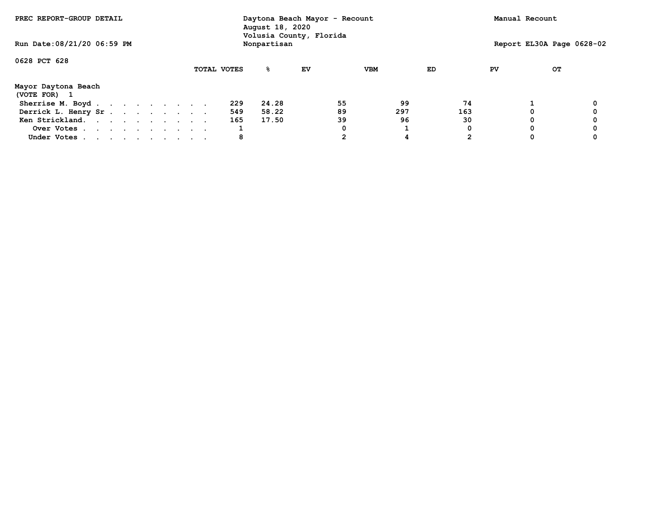| PREC REPORT-GROUP DETAIL          |  |  |  |  |  |             | Daytona Beach Mayor - Recount<br>August 18, 2020<br>Volusia County, Florida |    |    |            |     |    | Manual Recount            |  |
|-----------------------------------|--|--|--|--|--|-------------|-----------------------------------------------------------------------------|----|----|------------|-----|----|---------------------------|--|
| Run Date: 08/21/20 06:59 PM       |  |  |  |  |  |             | Nonpartisan                                                                 |    |    |            |     |    | Report EL30A Page 0628-02 |  |
| 0628 PCT 628                      |  |  |  |  |  |             |                                                                             |    |    |            |     |    |                           |  |
|                                   |  |  |  |  |  | TOTAL VOTES | %                                                                           | EV |    | <b>VBM</b> | ED  | PV | OТ                        |  |
| Mayor Daytona Beach<br>(VOTE FOR) |  |  |  |  |  |             |                                                                             |    |    |            |     |    |                           |  |
| Sherrise M. Boyd                  |  |  |  |  |  | 229         | 24.28                                                                       |    | 55 | 99         | 74  |    |                           |  |
| Derrick L. Henry Sr.              |  |  |  |  |  | 549         | 58.22                                                                       |    | 89 | 297        | 163 |    |                           |  |
| Ken Strickland.                   |  |  |  |  |  | 165         | 17.50                                                                       |    | 39 | 96         | 30  |    | 0                         |  |
| Over Votes                        |  |  |  |  |  |             |                                                                             |    |    |            |     |    | 0                         |  |
| Under Votes                       |  |  |  |  |  | 8           |                                                                             |    |    | 4          |     |    | 0                         |  |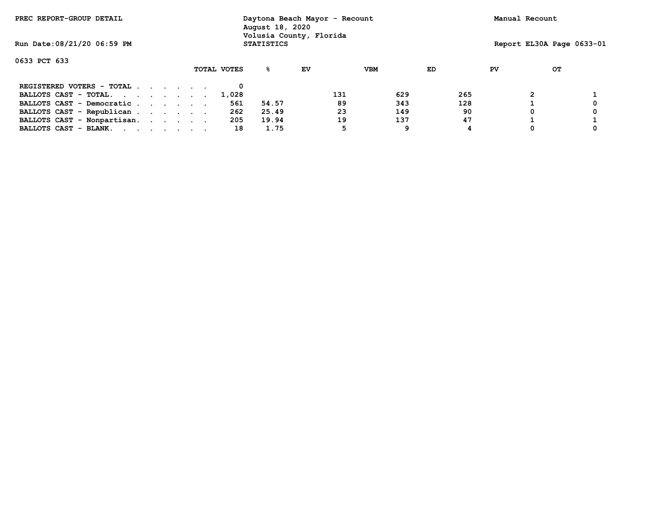| PREC REPORT-GROUP DETAIL    |  | August 18, 2020 | Daytona Beach Mayor - Recount<br>Volusia County, Florida |     | Manual Recount |     |    |                           |  |
|-----------------------------|--|-----------------|----------------------------------------------------------|-----|----------------|-----|----|---------------------------|--|
| Run Date: 08/21/20 06:59 PM |  |                 | <b>STATISTICS</b>                                        |     |                |     |    | Report EL30A Page 0633-01 |  |
| 0633 PCT 633                |  |                 |                                                          |     |                |     |    |                           |  |
|                             |  | TOTAL VOTES     | ℁                                                        | EV  | <b>VBM</b>     | ED  | PV | OТ                        |  |
| REGISTERED VOTERS - TOTAL   |  |                 |                                                          |     |                |     |    |                           |  |
| BALLOTS CAST - TOTAL.       |  | 1,028           |                                                          | 131 | 629            | 265 |    |                           |  |
| BALLOTS CAST - Democratic   |  | 561             | 54.57                                                    | 89  | 343            | 128 |    |                           |  |
| BALLOTS CAST - Republican   |  | 262             | 25.49                                                    | 23  | 149            | 90  |    |                           |  |
| BALLOTS CAST - Nonpartisan. |  | 205             | 19.94                                                    | 19  | 137            | 47  |    |                           |  |
| BALLOTS CAST - BLANK.       |  | 18              | 1.75                                                     | 5   | 9              |     |    |                           |  |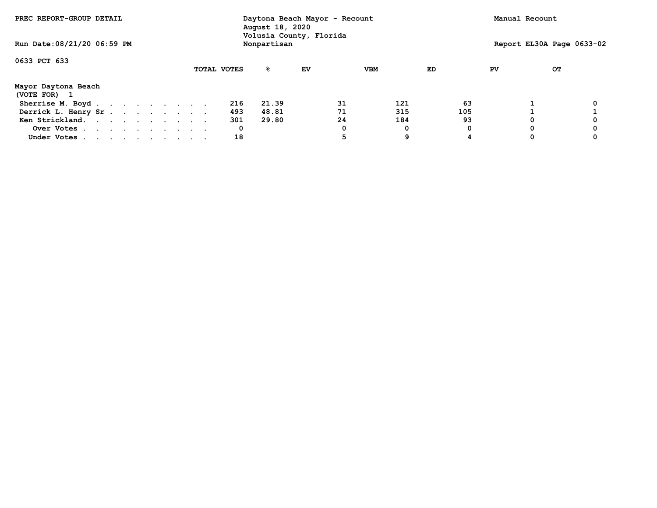| PREC REPORT-GROUP DETAIL          |  |  |  |             | Daytona Beach Mayor - Recount<br>August 18, 2020<br>Volusia County, Florida |    |    |            |     |    | Manual Recount            |  |
|-----------------------------------|--|--|--|-------------|-----------------------------------------------------------------------------|----|----|------------|-----|----|---------------------------|--|
| Run Date: 08/21/20 06:59 PM       |  |  |  |             | Nonpartisan                                                                 |    |    |            |     |    | Report EL30A Page 0633-02 |  |
| 0633 PCT 633                      |  |  |  |             |                                                                             |    |    |            |     |    |                           |  |
|                                   |  |  |  | TOTAL VOTES | %                                                                           | EV |    | <b>VBM</b> | ED  | PV | OТ                        |  |
| Mayor Daytona Beach<br>(VOTE FOR) |  |  |  |             |                                                                             |    |    |            |     |    |                           |  |
| Sherrise M. Boyd                  |  |  |  | 216         | 21.39                                                                       |    | 31 | 121        | 63  |    |                           |  |
| Derrick L. Henry Sr.              |  |  |  | 493         | 48.81                                                                       |    | 71 | 315        | 105 |    |                           |  |
| Ken Strickland.                   |  |  |  | 301         | 29.80                                                                       |    | 24 | 184        | 93  |    | 0                         |  |
| Over Votes                        |  |  |  | 0           |                                                                             |    |    | 0          |     |    | 0                         |  |
| Under Votes                       |  |  |  | 18          |                                                                             |    | 5  | 9          |     |    | 0                         |  |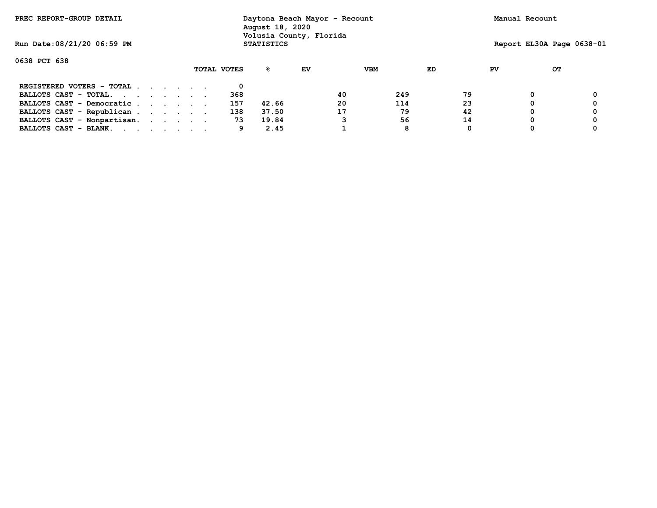| PREC REPORT-GROUP DETAIL    |  |  |             | Daytona Beach Mayor - Recount<br>August 18, 2020<br>Volusia County, Florida |    |    |            |    |    | Manual Recount |    |                           |
|-----------------------------|--|--|-------------|-----------------------------------------------------------------------------|----|----|------------|----|----|----------------|----|---------------------------|
| Run Date: 08/21/20 06:59 PM |  |  |             | <b>STATISTICS</b>                                                           |    |    |            |    |    |                |    | Report EL30A Page 0638-01 |
| 0638 PCT 638                |  |  |             |                                                                             |    |    |            |    |    |                |    |                           |
|                             |  |  | TOTAL VOTES | ℁                                                                           | EV |    | <b>VBM</b> | ED | PV |                | OТ |                           |
| REGISTERED VOTERS - TOTAL   |  |  |             |                                                                             |    |    |            |    |    |                |    |                           |
| BALLOTS CAST - TOTAL.       |  |  | 368         |                                                                             |    | 40 | 249        | 79 |    |                |    |                           |
| BALLOTS CAST - Democratic   |  |  | 157         | 42.66                                                                       |    | 20 | 114        | 23 |    |                |    |                           |
| BALLOTS CAST - Republican   |  |  | 138         | 37.50                                                                       |    | 17 | 79         | 42 |    |                |    |                           |
| BALLOTS CAST - Nonpartisan. |  |  | 73          | 19.84                                                                       |    |    | 56         | 14 |    |                |    |                           |
| BALLOTS CAST - BLANK.       |  |  | 9           | 2.45                                                                        |    |    | 8          | 0  |    |                |    |                           |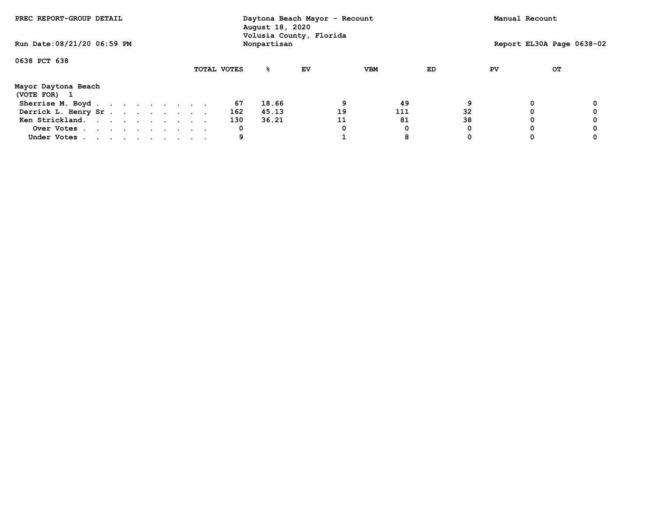| PREC REPORT-GROUP DETAIL            |  |  |  |  |             | Daytona Beach Mayor - Recount<br>August 18, 2020<br>Volusia County, Florida |    |    |            |    |    | Manual Recount            |  |
|-------------------------------------|--|--|--|--|-------------|-----------------------------------------------------------------------------|----|----|------------|----|----|---------------------------|--|
| Run Date: 08/21/20 06:59 PM         |  |  |  |  |             | Nonpartisan                                                                 |    |    |            |    |    | Report EL30A Page 0638-02 |  |
| 0638 PCT 638                        |  |  |  |  |             |                                                                             |    |    |            |    |    |                           |  |
|                                     |  |  |  |  | TOTAL VOTES | ℁                                                                           | EV |    | <b>VBM</b> | ED | PV | OТ                        |  |
| Mayor Daytona Beach<br>(VOTE FOR) 1 |  |  |  |  |             |                                                                             |    |    |            |    |    |                           |  |
| Sherrise M. Boyd.                   |  |  |  |  | 67          | 18.66                                                                       |    | 9  | 49         |    |    | 0                         |  |
| Derrick L. Henry Sr.                |  |  |  |  | 162         | 45.13                                                                       |    | 19 | 111        | 32 |    |                           |  |
| Ken Strickland.                     |  |  |  |  | 130         | 36.21                                                                       |    | 11 | 81         | 38 |    | 0                         |  |
| Over Votes                          |  |  |  |  | 0           |                                                                             |    |    | 0          |    |    | 0                         |  |
| Under Votes                         |  |  |  |  | 9           |                                                                             |    |    | 8          |    |    |                           |  |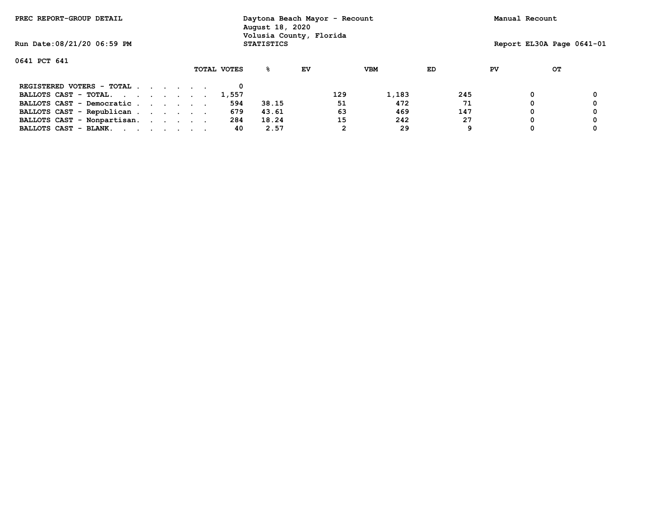| PREC REPORT-GROUP DETAIL    |  | Daytona Beach Mayor - Recount<br>August 18, 2020<br>Volusia County, Florida |             |                   | Manual Recount |     |            |     |    |                           |  |
|-----------------------------|--|-----------------------------------------------------------------------------|-------------|-------------------|----------------|-----|------------|-----|----|---------------------------|--|
| Run Date: 08/21/20 06:59 PM |  |                                                                             |             | <b>STATISTICS</b> |                |     |            |     |    | Report EL30A Page 0641-01 |  |
| 0641 PCT 641                |  |                                                                             |             |                   |                |     |            |     |    |                           |  |
|                             |  |                                                                             | TOTAL VOTES | ℁                 | EV             |     | <b>VBM</b> | ED  | PV | OТ                        |  |
| REGISTERED VOTERS - TOTAL   |  |                                                                             |             |                   |                |     |            |     |    |                           |  |
| BALLOTS CAST - TOTAL.       |  |                                                                             | 1,557       |                   |                | 129 | 1,183      | 245 |    |                           |  |
| BALLOTS CAST - Democratic   |  |                                                                             | 594         | 38.15             |                | 51  | 472        | 71  |    |                           |  |
| BALLOTS CAST - Republican   |  |                                                                             | 679         | 43.61             |                | 63  | 469        | 147 |    |                           |  |
| BALLOTS CAST - Nonpartisan. |  |                                                                             | 284         | 18.24             |                | 15  | 242        | 27  |    |                           |  |
| BALLOTS CAST - BLANK.       |  |                                                                             | 40          | 2.57              |                | 2   | 29         | 9   |    |                           |  |